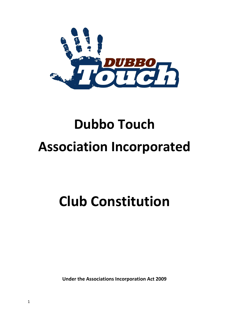

# **Dubbo Touch Association Incorporated**

# **Club Constitution**

**Under the Associations Incorporation Act 2009**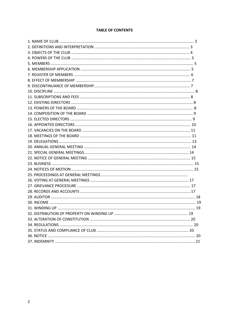# **TABLE OF CONTENTS**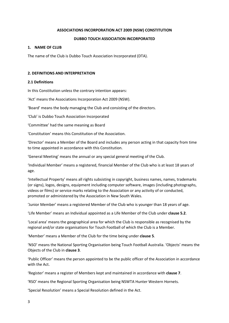#### **ASSOCIATIONS INCORPORATION ACT 2009 (NSW) CONSTITUTION**

# **DUBBO TOUCH ASSOCIATION INCORPORATED**

#### **1. NAME OF CLUB**

The name of the Club is Dubbo Touch Association Incorporated (DTA).

#### **2. DEFINITIONS AND INTERPRETATION**

#### **2.1 Definitions**

In this Constitution unless the contrary intention appears:

'Act' means the Associations Incorporation Act 2009 (NSW).

'Board' means the body managing the Club and consisting of the directors.

'Club' is Dubbo Touch Association Incorporated

'Committee' had the same meaning as Board

'Constitution' means this Constitution of the Association.

'Director' means a Member of the Board and includes any person acting in that capacity from time to time appointed in accordance with this Constitution.

'General Meeting' means the annual or any special general meeting of the Club.

'Individual Member' means a registered, financial Member of the Club who is at least 18 years of age.

'Intellectual Property' means all rights subsisting in copyright, business names, names, trademarks (or signs), logos, designs, equipment including computer software, images (including photographs, videos or films) or service marks relating to the Association or any activity of or conducted, promoted or administered by the Association in New South Wales.

'Junior Member' means a registered Member of the Club who is younger than 18 years of age.

'Life Member' means an Individual appointed as a Life Member of the Club under **clause 5.2**.

'Local area' means the geographical area for which the Club is responsible as recognised by the regional and/or state organisations for Touch Football of which the Club is a Member.

'Member' means a Member of the Club for the time being under **clause 5**.

'NSO' means the National Sporting Organisation being Touch Football Australia. 'Objects' means the Objects of the Club in **clause 3**.

'Public Officer' means the person appointed to be the public officer of the Association in accordance with the Act.

'Register' means a register of Members kept and maintained in accordance with **clause 7**.

'RSO' means the Regional Sporting Organisation being NSWTA Hunter Western Hornets.

'Special Resolution' means a Special Resolution defined in the Act.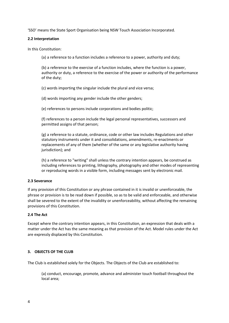'SSO' means the State Sport Organisation being NSW Touch Association Incorporated.

# **2.2 Interpretation**

In this Constitution:

(a) a reference to a function includes a reference to a power, authority and duty;

(b) a reference to the exercise of a function includes, where the function is a power, authority or duty, a reference to the exercise of the power or authority of the performance of the duty;

(c) words importing the singular include the plural and vice versa;

(d) words importing any gender include the other genders;

(e) references to persons include corporations and bodies politic;

(f) references to a person include the legal personal representatives, successors and permitted assigns of that person;

(g) a reference to a statute, ordinance, code or other law includes Regulations and other statutory instruments under it and consolidations, amendments, re-enactments or replacements of any of them (whether of the same or any legislative authority having jurisdiction); and

(h) a reference to "writing" shall unless the contrary intention appears, be construed as including references to printing, lithography, photography and other modes of representing or reproducing words in a visible form, including messages sent by electronic mail.

#### **2.3 Severance**

If any provision of this Constitution or any phrase contained in it is invalid or unenforceable, the phrase or provision is to be read down if possible, so as to be valid and enforceable, and otherwise shall be severed to the extent of the invalidity or unenforceability, without affecting the remaining provisions of this Constitution.

# **2.4 The Act**

Except where the contrary intention appears, in this Constitution, an expression that deals with a matter under the Act has the same meaning as that provision of the Act. Model rules under the Act are expressly displaced by this Constitution.

# **3. OBJECTS OF THE CLUB**

The Club is established solely for the Objects. The Objects of the Club are established to:

(a) conduct, encourage, promote, advance and administer touch football throughout the local area;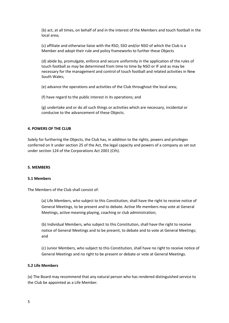(b) act, at all times, on behalf of and in the interest of the Members and touch football in the local area;

(c) affiliate and otherwise liaise with the RSO, SSO and/or NSO of which the Club is a Member and adopt their rule and policy frameworks to further these Objects

(d) abide by, promulgate, enforce and secure uniformity in the application of the rules of touch football as may be determined from time to time by NSO or IF and as may be necessary for the management and control of touch football and related activities in New South Wales;

(e) advance the operations and activities of the Club throughout the local area;

(f) have regard to the public interest in its operations; and

(g) undertake and or do all such things or activities which are necessary, incidental or conducive to the advancement of these Objects.

#### **4. POWERS OF THE CLUB**

Solely for furthering the Objects, the Club has, in addition to the rights, powers and privileges conferred on it under section 25 of the Act, the legal capacity and powers of a company as set out under section 124 of the Corporations Act 2001 (Cth).

#### **5. MEMBERS**

#### **5.1 Members**

The Members of the Club shall consist of:

(a) Life Members, who subject to this Constitution, shall have the right to receive notice of General Meetings, to be present and to debate. Active life members may vote at General Meetings, active meaning playing, coaching or club administration;

(b) Individual Members, who subject to this Constitution, shall have the right to receive notice of General Meetings and to be present, to debate and to vote at General Meetings; and

(c) Junior Members, who subject to this Constitution, shall have no right to receive notice of General Meetings and no right to be present or debate or vote at General Meetings.

#### **5.2 Life Members**

(a) The Board may recommend that any natural person who has rendered distinguished service to the Club be appointed as a Life Member.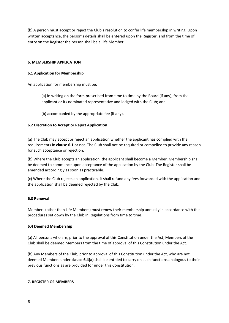(b) A person must accept or reject the Club's resolution to confer life membership in writing. Upon written acceptance, the person's details shall be entered upon the Register, and from the time of entry on the Register the person shall be a Life Member.

# **6. MEMBERSHIP APPLICATION**

# **6.1 Application for Membership**

An application for membership must be:

(a) in writing on the form prescribed from time to time by the Board (if any), from the applicant or its nominated representative and lodged with the Club; and

(b) accompanied by the appropriate fee (if any).

# **6.2 Discretion to Accept or Reject Application**

(a) The Club may accept or reject an application whether the applicant has complied with the requirements in **clause 6.1** or not. The Club shall not be required or compelled to provide any reason for such acceptance or rejection.

(b) Where the Club accepts an application, the applicant shall become a Member. Membership shall be deemed to commence upon acceptance of the application by the Club. The Register shall be amended accordingly as soon as practicable.

(c) Where the Club rejects an application, it shall refund any fees forwarded with the application and the application shall be deemed rejected by the Club.

#### **6.3 Renewal**

Members (other than Life Members) must renew their membership annually in accordance with the procedures set down by the Club in Regulations from time to time.

#### **6.4 Deemed Membership**

(a) All persons who are, prior to the approval of this Constitution under the Act, Members of the Club shall be deemed Members from the time of approval of this Constitution under the Act.

(b) Any Members of the Club, prior to approval of this Constitution under the Act, who are not deemed Members under **clause 6.4(a)** shall be entitled to carry on such functions analogous to their previous functions as are provided for under this Constitution.

#### **7. REGISTER OF MEMBERS**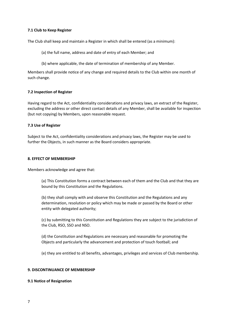# **7.1 Club to Keep Register**

The Club shall keep and maintain a Register in which shall be entered (as a minimum):

- (a) the full name, address and date of entry of each Member; and
- (b) where applicable, the date of termination of membership of any Member.

Members shall provide notice of any change and required details to the Club within one month of such change.

# **7.2 Inspection of Register**

Having regard to the Act, confidentiality considerations and privacy laws, an extract of the Register, excluding the address or other direct contact details of any Member, shall be available for inspection (but not copying) by Members, upon reasonable request.

# **7.3 Use of Register**

Subject to the Act, confidentiality considerations and privacy laws, the Register may be used to further the Objects, in such manner as the Board considers appropriate.

#### **8. EFFECT OF MEMBERSHIP**

Members acknowledge and agree that:

(a) This Constitution forms a contract between each of them and the Club and that they are bound by this Constitution and the Regulations.

(b) they shall comply with and observe this Constitution and the Regulations and any determination, resolution or policy which may be made or passed by the Board or other entity with delegated authority;

(c) by submitting to this Constitution and Regulations they are subject to the jurisdiction of the Club, RSO, SSO and NSO.

(d) the Constitution and Regulations are necessary and reasonable for promoting the Objects and particularly the advancement and protection of touch football; and

(e) they are entitled to all benefits, advantages, privileges and services of Club membership.

#### **9. DISCONTINUANCE OF MEMBERSHIP**

#### **9.1 Notice of Resignation**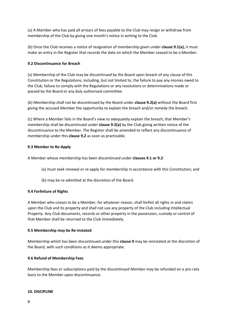(a) A Member who has paid all arrears of fees payable to the Club may resign or withdraw from membership of the Club by giving one month's notice in writing to the Club.

(b) Once the Club receives a notice of resignation of membership given under **clause 9.1(a),** it must make an entry in the Register that records the date on which the Member ceased to be a Member.

# **9.2 Discontinuance for Breach**

(a) Membership of the Club may be discontinued by the Board upon breach of any clause of this Constitution or the Regulations, including, but not limited to, the failure to pay any monies owed to the Club, failure to comply with the Regulations or any resolutions or determinations made or passed by the Board or any duly authorised committee.

(b) Membership shall not be discontinued by the Board under **clause 9.2(a)** without the Board first giving the accused Member the opportunity to explain the breach and/or remedy the breach.

(c) Where a Member fails in the Board's view to adequately explain the breach, that Member's membership shall be discontinued under **clause 9.2(a)** by the Club giving written notice of the discontinuance to the Member. The Register shall be amended to reflect any discontinuance of membership under this **clause 9.2** as soon as practicable.

# **9.3 Member to Re-Apply**

A Member whose membership has been discontinued under **clauses 9.1 or 9.2**:

- (a) must seek renewal or re-apply for membership in accordance with this Constitution; and
- (b) may be re-admitted at the discretion of the Board.

# **9.4 Forfeiture of Rights**

A Member who ceases to be a Member, for whatever reason, shall forfeit all rights in and claims upon the Club and its property and shall not use any property of the Club including Intellectual Property. Any Club documents, records or other property in the possession, custody or control of that Member shall be returned to the Club immediately.

# **9.5 Membership may be Re-instated**

Membership which has been discontinued under this **clause 9** may be reinstated at the discretion of the Board, with such conditions as it deems appropriate.

# **9.6 Refund of Membership Fees**

Membership fees or subscriptions paid by the discontinued Member may be refunded on a pro-rata basis to the Member upon discontinuance.

# **10. DISCIPLINE**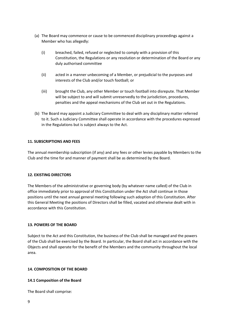- (a) The Board may commence or cause to be commenced disciplinary proceedings against a Member who has allegedly:
	- (i) breached, failed, refused or neglected to comply with a provision of this Constitution, the Regulations or any resolution or determination of the Board or any duly authorised committee
	- (ii) acted in a manner unbecoming of a Member, or prejudicial to the purposes and interests of the Club and/or touch football; or
	- (iii) brought the Club, any other Member or touch football into disrepute. That Member will be subject to and will submit unreservedly to the jurisdiction, procedures, penalties and the appeal mechanisms of the Club set out in the Regulations.
- (b) The Board may appoint a Judiciary Committee to deal with any disciplinary matter referred to it. Such a Judiciary Committee shall operate in accordance with the procedures expressed in the Regulations but is subject always to the Act.

# **11. SUBSCRIPTIONS AND FEES**

The annual membership subscription (if any) and any fees or other levies payable by Members to the Club and the time for and manner of payment shall be as determined by the Board.

#### **12. EXISTING DIRECTORS**

The Members of the administrative or governing body (by whatever name called) of the Club in office immediately prior to approval of this Constitution under the Act shall continue in those positions until the next annual general meeting following such adoption of this Constitution. After this General Meeting the positions of Directors shall be filled, vacated and otherwise dealt with in accordance with this Constitution.

#### **13. POWERS OF THE BOARD**

Subject to the Act and this Constitution, the business of the Club shall be managed and the powers of the Club shall be exercised by the Board. In particular, the Board shall act in accordance with the Objects and shall operate for the benefit of the Members and the community throughout the local area.

# **14. COMPOSITION OF THE BOARD**

# **14.1 Composition of the Board**

The Board shall comprise: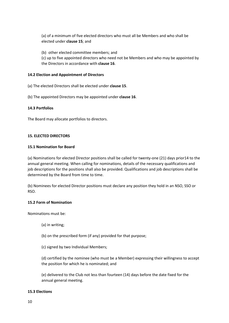(a) of a minimum of five elected directors who must all be Members and who shall be elected under **clause 15**; and

(b) other elected committee members; and

(c) up to five appointed directors who need not be Members and who may be appointed by the Directors in accordance with **clause 16**.

# **14.2 Election and Appointment of Directors**

(a) The elected Directors shall be elected under **clause 15**.

(b) The appointed Directors may be appointed under **clause 16**.

# **14.3 Portfolios**

The Board may allocate portfolios to directors.

# **15. ELECTED DIRECTORS**

#### **15.1 Nomination for Board**

(a) Nominations for elected Director positions shall be called for twenty-one (21) days prior14 to the annual general meeting. When calling for nominations, details of the necessary qualifications and job descriptions for the positions shall also be provided. Qualifications and job descriptions shall be determined by the Board from time to time.

(b) Nominees for elected Director positions must declare any position they hold in an NSO, SSO or RSO.

#### **15.2 Form of Nomination**

Nominations must be:

- (a) in writing;
- (b) on the prescribed form (if any) provided for that purpose;
- (c) signed by two Individual Members;

(d) certified by the nominee (who must be a Member) expressing their willingness to accept the position for which he is nominated; and

(e) delivered to the Club not less than fourteen (14) days before the date fixed for the annual general meeting.

#### **15.3 Elections**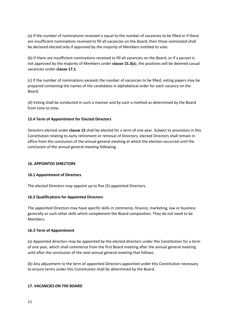(a) If the number of nominations received is equal to the number of vacancies to be filled or if there are insufficient nominations received to fill all vacancies on the Board, then those nominated shall be declared elected only if approved by the majority of Members entitled to vote.

(b) If there are insufficient nominations received to fill all vacancies on the Board, or if a person is not approved by the majority of Members under **clause 15.3(a**), the positions will be deemed casual vacancies under **clause 17.1**.

(c) If the number of nominations exceeds the number of vacancies to be filled, voting papers may be prepared containing the names of the candidates in alphabetical order for each vacancy on the Board.

(d) Voting shall be conducted in such a manner and by such a method as determined by the Board from time to time.

# **15.4 Term of Appointment for Elected Directors**

Directors elected under **clause 15** shall be elected for a term of one year. Subject to provisions in this Constitution relating to early retirement or removal of Directors, elected Directors shall remain in office from the conclusion of the annual general meeting at which the election occurred until the conclusion of the annual general meeting following.

#### **16. APPOINTED DIRECTORS**

#### **16.1 Appointment of Directors**

The elected Directors may appoint up to five (5) appointed Directors.

#### **16.2 Qualifications for Appointed Directors**

The appointed Directors may have specific skills in commerce, finance, marketing, law or business generally or such other skills which complement the Board composition. They do not need to be Members.

#### **16.3 Term of Appointment**

(a) Appointed directors may be appointed by the elected directors under this Constitution for a term of one year, which shall commence from the first Board meeting after the annual general meeting until after the conclusion of the next annual general meeting that follows.

(b) Any adjustment to the term of appointed Directors appointed under this Constitution necessary to ensure terms under this Constitution shall be determined by the Board.

#### **17. VACANCIES ON THE BOARD**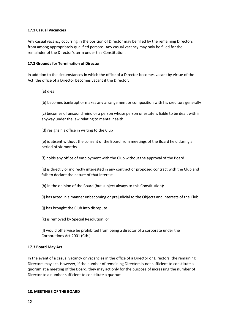# **17.1 Casual Vacancies**

Any casual vacancy occurring in the position of Director may be filled by the remaining Directors from among appropriately qualified persons. Any casual vacancy may only be filled for the remainder of the Director's term under this Constitution.

# **17.2 Grounds for Termination of Director**

In addition to the circumstances in which the office of a Director becomes vacant by virtue of the Act, the office of a Director becomes vacant if the Director:

- (a) dies
- (b) becomes bankrupt or makes any arrangement or composition with his creditors generally

(c) becomes of unsound mind or a person whose person or estate is liable to be dealt with in anyway under the law relating to mental health

(d) resigns his office in writing to the Club

(e) is absent without the consent of the Board from meetings of the Board held during a period of six months

(f) holds any office of employment with the Club without the approval of the Board

(g) is directly or indirectly interested in any contract or proposed contract with the Club and fails to declare the nature of that interest

- (h) in the opinion of the Board (but subject always to this Constitution):
- (i) has acted in a manner unbecoming or prejudicial to the Objects and interests of the Club
- (j) has brought the Club into disrepute
- (k) is removed by Special Resolution; or

(l) would otherwise be prohibited from being a director of a corporate under the Corporations Act 2001 (Cth.).

#### **17.3 Board May Act**

In the event of a casual vacancy or vacancies in the office of a Director or Directors, the remaining Directors may act. However, if the number of remaining Directors is not sufficient to constitute a quorum at a meeting of the Board, they may act only for the purpose of increasing the number of Director to a number sufficient to constitute a quorum.

#### **18. MEETINGS OF THE BOARD**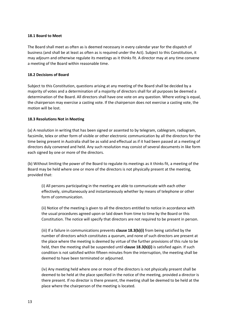#### **18.1 Board to Meet**

The Board shall meet as often as is deemed necessary in every calendar year for the dispatch of business (and shall be at least as often as is required under the Act). Subject to this Constitution, it may adjourn and otherwise regulate its meetings as it thinks fit. A director may at any time convene a meeting of the Board within reasonable time.

# **18.2 Decisions of Board**

Subject to this Constitution, questions arising at any meeting of the Board shall be decided by a majority of votes and a determination of a majority of directors shall for all purposes be deemed a determination of the Board. All directors shall have one vote on any question. Where voting is equal, the chairperson may exercise a casting vote. If the chairperson does not exercise a casting vote, the motion will be lost.

# **18.3 Resolutions Not in Meeting**

(a) A resolution in writing that has been signed or assented to by telegram, cablegram, radiogram, facsimile, telex or other form of visible or other electronic communication by all the directors for the time being present in Australia shall be as valid and effectual as if it had been passed at a meeting of directors duly convened and held. Any such resolution may consist of several documents in like form each signed by one or more of the directors.

(b) Without limiting the power of the Board to regulate its meetings as it thinks fit, a meeting of the Board may be held where one or more of the directors is not physically present at the meeting, provided that:

(i) All persons participating in the meeting are able to communicate with each other effectively, simultaneously and instantaneously whether by means of telephone or other form of communication.

(ii) Notice of the meeting is given to all the directors entitled to notice in accordance with the usual procedures agreed upon or laid down from time to time by the Board or this Constitution. The notice will specify that directors are not required to be present in person.

(iii) If a failure in communications prevents **clause 18.3(b)(i)** from being satisfied by the number of directors which constitutes a quorum, and none of such directors are present at the place where the meeting is deemed by virtue of the further provisions of this rule to be held, then the meeting shall be suspended until **clause 18.3(b)(i)** is satisfied again. If such condition is not satisfied within fifteen minutes from the interruption, the meeting shall be deemed to have been terminated or adjourned.

(iv) Any meeting held where one or more of the directors is not physically present shall be deemed to be held at the place specified in the notice of the meeting, provided a director is there present. If no director is there present, the meeting shall be deemed to be held at the place where the chairperson of the meeting is located.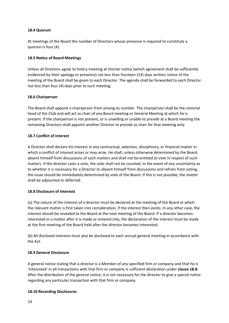# **18.4 Quorum**

At meetings of the Board the number of Directors whose presence is required to constitute a quorum is four (4).

# **18.5 Notice of Board Meetings**

Unless all Directors agree to hold a meeting at shorter notice (which agreement shall be sufficiently evidenced by their apology or presence) not less than fourteen (14) days written notice of the meeting of the Board shall be given to each Director. The agenda shall be forwarded to each Director not less than four (4) days prior to such meeting.

# **18.6 Chairperson**

The Board shall appoint a chairperson from among its number. The chairperson shall be the nominal head of the Club and will act as chair of any Board meeting or General Meeting at which he is present. If the chairperson is not present, or is unwilling or unable to preside at a Board meeting the remaining Directors shall appoint another Director to preside as chair for that meeting only.

# **18.7 Conflict of Interest**

A Director shall declare his interest in any contractual, selection, disciplinary, or financial matter in which a conflict of interest arises or may arise. He shall, unless otherwise determined by the Board, absent himself from discussions of such matters and shall not be entitled to vote in respect of such matters. If the director casts a vote, the vote shall not be counted. In the event of any uncertainty as to whether it is necessary for a Director to absent himself from discussions and refrain from voting, the issue should be immediately determined by vote of the Board. If this is not possible, the matter shall be adjourned or deferred.

#### **18.8 Disclosure of Interests**

(a) The nature of the interest of a director must be declared at the meeting of the Board at which the relevant matter is first taken into consideration, if the interest then exists. In any other case, the interest should be revealed to the Board at the next meeting of the Board. If a director becomes interested in a matter after it is made or entered into, the declaration of the interest must be made at the first meeting of the Board held after the director becomes interested.

(b) All disclosed interests must also be disclosed to each annual general meeting in accordance with the Act.

# **18.9 General Disclosure**

A general notice stating that a director is a Member of any specified firm or company and that he is 'interested' in all transactions with that firm or company is sufficient declaration under **clause 18.8**. After the distribution of the general notice, it is not necessary for the director to give a special notice regarding any particular transaction with that firm or company.

#### **18.10 Recording Disclosures**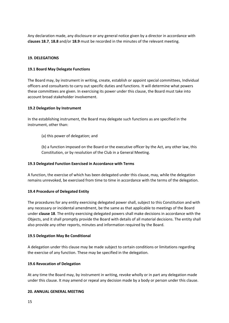Any declaration made, any disclosure or any general notice given by a director in accordance with **clauses 18.7**, **18.8** and/or **18.9** must be recorded in the minutes of the relevant meeting.

# **19. DELEGATIONS**

#### **19.1 Board May Delegate Functions**

The Board may, by instrument in writing, create, establish or appoint special committees, Individual officers and consultants to carry out specific duties and functions. It will determine what powers these committees are given. In exercising its power under this clause, the Board must take into account broad stakeholder involvement.

# **19.2 Delegation by Instrument**

In the establishing instrument, the Board may delegate such functions as are specified in the instrument, other than:

(a) this power of delegation; and

(b) a function imposed on the Board or the executive officer by the Act, any other law, this Constitution, or by resolution of the Club in a General Meeting.

#### **19.3 Delegated Function Exercised in Accordance with Terms**

A function, the exercise of which has been delegated under this clause, may, while the delegation remains unrevoked, be exercised from time to time in accordance with the terms of the delegation.

#### **19.4 Procedure of Delegated Entity**

The procedures for any entity exercising delegated power shall, subject to this Constitution and with any necessary or incidental amendment, be the same as that applicable to meetings of the Board under **clause 18**. The entity exercising delegated powers shall make decisions in accordance with the Objects, and it shall promptly provide the Board with details of all material decisions. The entity shall also provide any other reports, minutes and information required by the Board.

#### **19.5 Delegation May Be Conditional**

A delegation under this clause may be made subject to certain conditions or limitations regarding the exercise of any function. These may be specified in the delegation.

#### **19.6 Revocation of Delegation**

At any time the Board may, by instrument in writing, revoke wholly or in part any delegation made under this clause. It may amend or repeal any decision made by a body or person under this clause.

#### **20. ANNUAL GENERAL MEETING**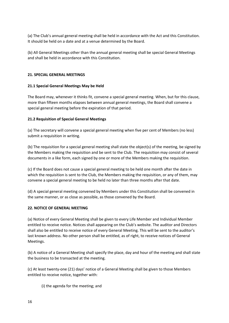(a) The Club's annual general meeting shall be held in accordance with the Act and this Constitution. It should be held on a date and at a venue determined by the Board.

(b) All General Meetings other than the annual general meeting shall be special General Meetings and shall be held in accordance with this Constitution.

# **21. SPECIAL GENERAL MEETINGS**

# **21.1 Special General Meetings May be Held**

The Board may, whenever it thinks fit, convene a special general meeting. When, but for this clause, more than fifteen months elapses between annual general meetings, the Board shall convene a special general meeting before the expiration of that period.

# **21.2 Requisition of Special General Meetings**

(a) The secretary will convene a special general meeting when five per cent of Members (no less) submit a requisition in writing.

(b) The requisition for a special general meeting shall state the object(s) of the meeting, be signed by the Members making the requisition and be sent to the Club. The requisition may consist of several documents in a like form, each signed by one or more of the Members making the requisition.

(c) If the Board does not cause a special general meeting to be held one month after the date in which the requisition is sent to the Club, the Members making the requisition, or any of them, may convene a special general meeting to be held no later than three months after that date.

(d) A special general meeting convened by Members under this Constitution shall be convened in the same manner, or as close as possible, as those convened by the Board.

# **22. NOTICE OF GENERAL MEETING**

(a) Notice of every General Meeting shall be given to every Life Member and Individual Member entitled to receive notice. Notices shall appearing on the Club's website. The auditor and Directors shall also be entitled to receive notice of every General Meeting. This will be sent to the auditor's last known address. No other person shall be entitled, as of right, to receive notices of General Meetings.

(b) A notice of a General Meeting shall specify the place, day and hour of the meeting and shall state the business to be transacted at the meeting.

(c) At least twenty-one (21) days' notice of a General Meeting shall be given to those Members entitled to receive notice, together with:

(i) the agenda for the meeting; and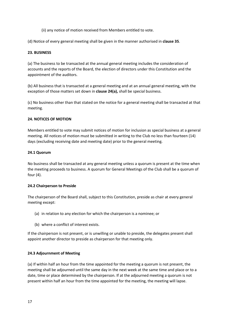(ii) any notice of motion received from Members entitled to vote.

(d) Notice of every general meeting shall be given in the manner authorised in **clause 35**.

#### **23. BUSINESS**

(a) The business to be transacted at the annual general meeting includes the consideration of accounts and the reports of the Board, the election of directors under this Constitution and the appointment of the auditors.

(b) All business that is transacted at a general meeting and at an annual general meeting, with the exception of those matters set down in **clause 24(a),** shall be special business.

(c) No business other than that stated on the notice for a general meeting shall be transacted at that meeting.

# **24. NOTICES OF MOTION**

Members entitled to vote may submit notices of motion for inclusion as special business at a general meeting. All notices of motion must be submitted in writing to the Club no less than fourteen (14) days (excluding receiving date and meeting date) prior to the general meeting.

#### **24.1 Quorum**

No business shall be transacted at any general meeting unless a quorum is present at the time when the meeting proceeds to business. A quorum for General Meetings of the Club shall be a quorum of four (4).

#### **24.2 Chairperson to Preside**

The chairperson of the Board shall, subject to this Constitution, preside as chair at every general meeting except:

- (a) in relation to any election for which the chairperson is a nominee; or
- (b) where a conflict of interest exists.

If the chairperson is not present, or is unwilling or unable to preside, the delegates present shall appoint another director to preside as chairperson for that meeting only.

# **24.3 Adjournment of Meeting**

(a) If within half an hour from the time appointed for the meeting a quorum is not present, the meeting shall be adjourned until the same day in the next week at the same time and place or to a date, time or place determined by the chairperson. If at the adjourned meeting a quorum is not present within half an hour from the time appointed for the meeting, the meeting will lapse.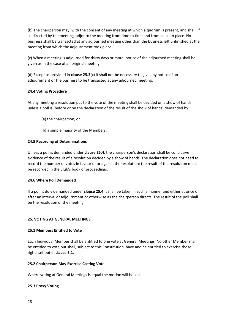(b) The chairperson may, with the consent of any meeting at which a quorum is present, and shall, if so directed by the meeting, adjourn the meeting from time to time and from place to place. No business shall be transacted at any adjourned meeting other than the business left unfinished at the meeting from which the adjournment took place.

(c) When a meeting is adjourned for thirty days or more, notice of the adjourned meeting shall be given as in the case of an original meeting.

(d) Except as provided in **clause 25.3(c)** it shall not be necessary to give any notice of an adjournment or the business to be transacted at any adjourned meeting.

# **24.4 Voting Procedure**

At any meeting a resolution put to the vote of the meeting shall be decided on a show of hands unless a poll is (before or on the declaration of the result of the show of hands) demanded by:

- (a) the chairperson; or
- (b) a simple majority of the Members.

# **24.5 Recording of Determinations**

Unless a poll is demanded under **clause 25.4**, the chairperson's declaration shall be conclusive evidence of the result of a resolution decided by a show of hands. The declaration does not need to record the number of votes in favour of or against the resolution; the result of the resolution must be recorded in the Club's book of proceedings.

#### **24.6 Where Poll Demanded**

If a poll is duly demanded under **clause 25.4** it shall be taken in such a manner and either at once or after an interval or adjournment or otherwise as the chairperson directs. The result of the poll shall be the resolution of the meeting.

#### **25. VOTING AT GENERAL MEETINGS**

#### **25.1 Members Entitled to Vote**

Each Individual Member shall be entitled to one vote at General Meetings. No other Member shall be entitled to vote but shall, subject to this Constitution, have and be entitled to exercise those rights set out in **clause 5.1**.

#### **25.2 Chairperson May Exercise Casting Vote**

Where voting at General Meetings is equal the motion will be lost.

#### **25.3 Proxy Voting**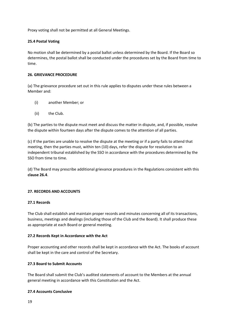Proxy voting shall not be permitted at all General Meetings.

# **25.4 Postal Voting**

No motion shall be determined by a postal ballot unless determined by the Board. If the Board so determines, the postal ballot shall be conducted under the procedures set by the Board from time to time.

#### **26. GRIEVANCE PROCEDURE**

(a) The grievance procedure set out in this rule applies to disputes under these rules between a Member and:

- (i) another Member; or
- (ii) the Club.

(b) The parties to the dispute must meet and discuss the matter in dispute, and, if possible, resolve the dispute within fourteen days after the dispute comes to the attention of all parties.

(c) If the parties are unable to resolve the dispute at the meeting or if a party fails to attend that meeting, then the parties must, within ten (10) days, refer the dispute for resolution to an independent tribunal established by the SSO in accordance with the procedures determined by the SSO from time to time.

(d) The Board may prescribe additional grievance procedures in the Regulations consistent with this **clause 26.4**.

# **27. RECORDS AND ACCOUNTS**

# **27.1 Records**

The Club shall establish and maintain proper records and minutes concerning all of its transactions, business, meetings and dealings (including those of the Club and the Board). It shall produce these as appropriate at each Board or general meeting.

#### **27.2 Records Kept in Accordance with the Act**

Proper accounting and other records shall be kept in accordance with the Act. The books of account shall be kept in the care and control of the Secretary.

# **27.3 Board to Submit Accounts**

The Board shall submit the Club's audited statements of account to the Members at the annual general meeting in accordance with this Constitution and the Act.

#### **27.4 Accounts Conclusive**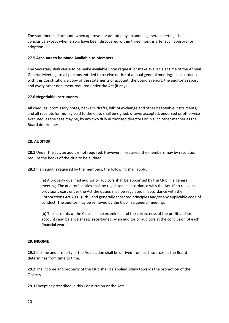The statements of account, when approved or adopted by an annual general meeting, shall be conclusive except when errors have been discovered within three months after such approval or adoption.

# **27.5 Accounts to be Made Available to Members**

The Secretary shall cause to be make available upon request, or make available at time of the Annual General Meeting, to all persons entitled to receive notice of annual general meetings in accordance with this Constitution, a copy of the statements of account, the Board's report, the auditor's report and every other document required under the Act (if any).

# **27.6 Negotiable Instruments**

All cheques, promissory notes, bankers, drafts, bills of exchange and other negotiable instruments, and all receipts for money paid to the Club, shall be signed, drawn, accepted, endorsed or otherwise executed, as the case may be, by any two duly authorised directors or in such other manner as the Board determines.

#### **28. AUDITOR**

**28.1** Under the act, an audit is not required. However, if required, the members may by resolution require the books of the club to be audited.

**28.2** If an audit is required by the members, the following shall apply:

(a) A properly qualified auditor or auditors shall be appointed by the Club in a general meeting. The auditor's duties shall be regulated in accordance with the Act. If no relevant provisions exist under the Act the duties shall be regulated in accordance with the Corporations Act 2001 (Cth.) and generally accepted principles and/or any applicable code of conduct. The auditor may be removed by the Club in a general meeting.

(b) The accounts of the Club shall be examined and the correctness of the profit and loss accounts and balance sheets ascertained by an auditor or auditors at the conclusion of each financial year.

#### **29. INCOME**

**29.1** Income and property of the Association shall be derived from such sources as the Board determines from time to time.

**29.2** The income and property of the Club shall be applied solely towards the promotion of the Objects.

**29.3** Except as prescribed in this Constitution or the Act: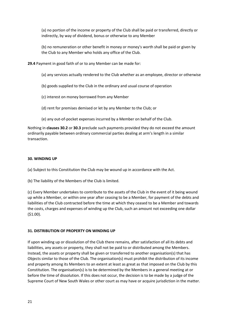(a) no portion of the income or property of the Club shall be paid or transferred, directly or indirectly, by way of dividend, bonus or otherwise to any Member

(b) no remuneration or other benefit in money or money's worth shall be paid or given by the Club to any Member who holds any office of the Club.

**29.4** Payment in good faith of or to any Member can be made for:

- (a) any services actually rendered to the Club whether as an employee, director or otherwise
- (b) goods supplied to the Club in the ordinary and usual course of operation
- (c) interest on money borrowed from any Member
- (d) rent for premises demised or let by any Member to the Club; or
- (e) any out-of-pocket expenses incurred by a Member on behalf of the Club.

Nothing in **clauses 30.2** or **30.3** preclude such payments provided they do not exceed the amount ordinarily payable between ordinary commercial parties dealing at arm's length in a similar transaction.

#### **30. WINDING UP**

(a) Subject to this Constitution the Club may be wound up in accordance with the Act.

(b) The liability of the Members of the Club is limited.

(c) Every Member undertakes to contribute to the assets of the Club in the event of it being wound up while a Member, or within one year after ceasing to be a Member, for payment of the debts and liabilities of the Club contracted before the time at which they ceased to be a Member and towards the costs, charges and expenses of winding up the Club, such an amount not exceeding one dollar (\$1.00).

#### **31. DISTRIBUTION OF PROPERTY ON WINDING UP**

If upon winding up or dissolution of the Club there remains, after satisfaction of all its debts and liabilities, any assets or property, they shall not be paid to or distributed among the Members. Instead, the assets or property shall be given or transferred to another organisation(s) that has Objects similar to those of the Club. The organisation(s) must prohibit the distribution of its income and property among its Members to an extent at least as great as that imposed on the Club by this Constitution. The organisation(s) is to be determined by the Members in a general meeting at or before the time of dissolution. If this does not occur, the decision is to be made by a judge of the Supreme Court of New South Wales or other court as may have or acquire jurisdiction in the matter.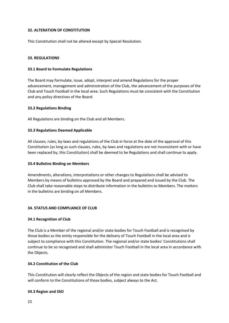# **32. ALTERATION OF CONSTITUTION**

This Constitution shall not be altered except by Special Resolution.

# **33. REGULATIONS**

#### **33.1 Board to Formulate Regulations**

The Board may formulate, issue, adopt, interpret and amend Regulations for the proper advancement, management and administration of the Club, the advancement of the purposes of the Club and Touch Football in the local area. Such Regulations must be consistent with the Constitution and any policy directives of the Board.

# **33.2 Regulations Binding**

All Regulations are binding on the Club and all Members.

# **33.3 Regulations Deemed Applicable**

All clauses, rules, by-laws and regulations of the Club in force at the date of the approval of this Constitution (as long as such clauses, rules, by-laws and regulations are not inconsistent with or have been replaced by, this Constitution) shall be deemed to be Regulations and shall continue to apply.

#### **33.4 Bulletins Binding on Members**

Amendments, alterations, interpretations or other changes to Regulations shall be advised to Members by means of bulletins approved by the Board and prepared and issued by the Club. The Club shall take reasonable steps to distribute information in the bulletins to Members. The matters in the bulletins are binding on all Members.

#### **34. STATUS AND COMPLIANCE OF CLUB**

#### **34.1 Recognition of Club**

The Club is a Member of the regional and/or state bodies for Touch Football and is recognised by those bodies as the entity responsible for the delivery of Touch Football in the local area and is subject to compliance with this Constitution. The regional and/or state bodies' Constitutions shall continue to be so recognised and shall administer Touch Football in the local area in accordance with the Objects.

# **34.2 Constitution of the Club**

This Constitution will clearly reflect the Objects of the region and state bodies for Touch Football and will conform to the Constitutions of those bodies, subject always to the Act.

#### **34.3 Region and SSO**